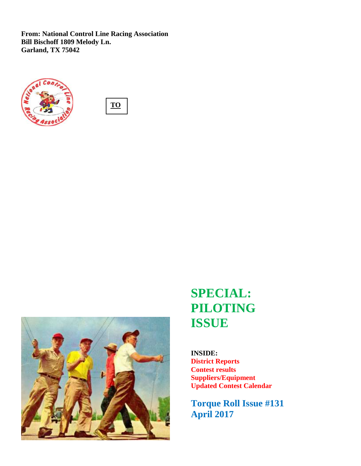**From: National Control Line Racing Association Bill Bischoff 1809 Melody Ln. Garland, TX 75042**







# **SPECIAL: PILOTING ISSUE**

**INSIDE: District Reports Contest results Suppliers/Equipment Updated Contest Calendar**

**Torque Roll Issue #131 April 2017**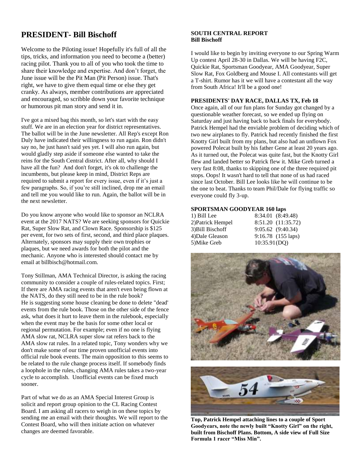## **PRESIDENT- Bill Bischoff**

Welcome to the Piloting issue! Hopefully it's full of all the tips, tricks, and information you need to become a (better) racing pilot. Thank you to all of you who took the time to share their knowledge and expertise. And don't forget, the June issue will be the Pit Man (Pit Person) issue. That's right, we have to give them equal time or else they get cranky. As always, member contributions are appreciated and encouraged, so scribble down your favorite technique or humorous pit man story and send it in.

I've got a mixed bag this month, so let's start with the easy stuff. We are in an election year for district representatives. The ballot will be in the June newsletter. All Rep's except Ron Duly have indicated their willingness to run again. Ron didn't say no, he just hasn't said yes yet. I will also run again, but would gladly step aside if someone else wanted to take the reins for the South Central district. After all, why should I have all the fun? And don't forget, it's ok to challenge the incumbents, but please keep in mind, District Reps are required to submit a report for every issue, even if it's just a few paragraphs. So, if you're still inclined, drop me an email and tell me you would like to run. Again, the ballot will be in the next newsletter.

Do you know anyone who would like to sponsor an NCLRA event at the 2017 NATS? We are seeking sponsors for Quickie Rat, Super Slow Rat, and Clown Race. Sponsorship is \$125 per event, for two sets of first, second, and third place plaques. Alternately, sponsors may supply their own trophies or plaques, but we need awards for both the pilot and the mechanic. Anyone who is interested should contact me by email at billbisch@hotmail.com.

Tony Stillman, AMA Technical Director, is asking the racing community to consider a couple of rules-related topics. First; If there are AMA racing events that aren't even being flown at the NATS, do they still need to be in the rule book? He is suggesting some house cleaning be done to delete "dead' events from the rule book. Those on the other side of the fence ask, what does it hurt to leave them in the rulebook, especially when the event may be the basis for some other local or regional permutation. For example; even if no one is flying AMA slow rat, NCLRA super slow rat refers back to the AMA slow rat rules. In a related topic, Tony wonders why we don't make some of our time proven unofficial events into official rule book events. The main opposition to this seems to be related to the rule change process itself. If somebody finds a loophole in the rules, changing AMA rules takes a two-year cycle to accomplish. Unofficial events can be fixed much sooner.

Part of what we do as an AMA Special Interest Group is solicit and report group opinion to the CL Racing Contest Board. I am asking all racers to weigh in on these topics by sending me an email with their thoughts. We will report to the Contest Board, who will then initiate action on whatever changes are deemed favorable.

#### **SOUTH CENTRAL REPORT Bill Bischoff**

I would like to begin by inviting everyone to our Spring Warm Up contest April 28-30 in Dallas. We will be having F2C, Quickie Rat, Sportsman Goodyear, AMA Goodyear, Super Slow Rat, Fox Goldberg and Mouse I. All contestants will get a T-shirt. Rumor has it we will have a contestant all the way from South Africa! It'll be a good one!

#### **PRESIDENTS' DAY RACE, DALLAS TX, Feb 18**

Once again, all of our fun plans for Sunday got changed by a questionable weather forecast, so we ended up flying on Saturday and just having back to back finals for everybody. Patrick Hempel had the enviable problem of deciding which of two new airplanes to fly. Patrick had recently finished the first Knotty Girl built from my plans, but also had an unflown Fox powered Polecat built by his father Gene at least 20 years ago. As it turned out, the Polecat was quite fast, but the Knotty Girl flew and landed better so Patrick flew it. Mike Greb turned a very fast 8:08, thanks to skipping one of the three required pit stops. Oops! It wasn't hard to tell that none of us had raced since last October. Bill Lee looks like he will continue to be the one to beat. Thanks to team Phil/Dale for flying traffic so everyone could fly 3-up.

#### **SPORTSMAN GOODYEAR 160 laps**

| 1) Bill Lee       | 8:34.01 (8:49.48)    |
|-------------------|----------------------|
| 2) Patrick Hempel | 8:51.20 (11:35.72)   |
| 3) Bill Bischoff  | 9:05.62 (9:40.34)    |
| 4) Dale Gleason   | $9:16.78$ (155 laps) |
| 5) Mike Greb      | 10:35.91(DQ)         |





**Top, Patrick Hempel attaching lines to a couple of Sport Goodyears, note the newly built "Knotty Girl" on the right, built from Bischoff Plans. Bottom, A side view of Full Size Formula 1 racer "Miss Min".**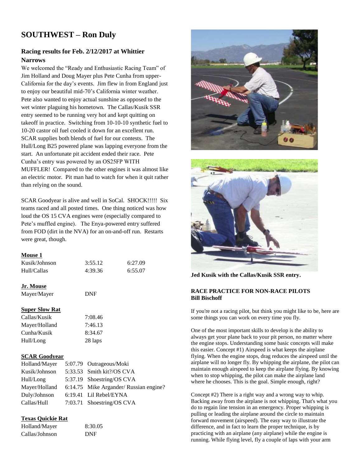## **SOUTHWEST – Ron Duly**

### **Racing results for Feb. 2/12/2017 at Whittier Narrows**

We welcomed the "Ready and Enthusiastic Racing Team" of Jim Holland and Doug Mayer plus Pete Cunha from upper-California for the day's events. Jim flew in from England just to enjoy our beautiful mid-70's California winter weather. Pete also wanted to enjoy actual sunshine as opposed to the wet winter plaguing his hometown. The Callas/Kusik SSR entry seemed to be running very hot and kept quitting on takeoff in practice. Switching from 10-10-10 synthetic fuel to 10-20 castor oil fuel cooled it down for an excellent run. SCAR supplies both blends of fuel for our contests. The Hull/Long B25 powered plane was lapping everyone from the start. An unfortunate pit accident ended their race. Pete Cunha's entry was powered by an OS25FP WITH MUFFLER! Compared to the other engines it was almost like an electric motor. Pit man had to watch for when it quit rather than relying on the sound.

SCAR Goodyear is alive and well in SoCal. SHOCK!!!!! Six teams raced and all posted times. One thing noticed was how loud the OS 15 CVA engines were (especially compared to Pete's muffled engine). The Enya-powered entry suffered from FOD (dirt in the NVA) for an on-and-off run. Restarts were great, though.

#### **Mouse 1**

| Kusik/Johnson | 3:55.12 | 6:27.09 |
|---------------|---------|---------|
| Hull/Callas   | 4:39.36 | 6:55.07 |

#### **Jr. Mouse**

Mayer/Mayer DNF

#### **Super Slow Rat**

Callas/Kusik 7:08.46 Mayer/Holland 7:46.13 Cunha/Kusik 8:34.67 Hull/Long 28 laps

#### **SCAR Goodyear**

| Holland/Mayer | 5:07.79 Outrageous/Moki                |
|---------------|----------------------------------------|
| Kusik/Johnson | 5:33.53 Smith kit?/OS CVA              |
| Hull/Long     | 5:37.19 Shoestring/OS CVA              |
| Mayer/Holland | 6:14.75 Mike Argander/ Russian engine? |
| Duly/Johnson  | 6:19.41 Lil Rebel/EYNA                 |
| Callas/Hull   | 7:03.71 Shoestring/OS CVA              |

#### **Texas Quickie Rat**

| Holland/Mayer  | 8:30.05 |
|----------------|---------|
| Callas/Johnson | DNF     |





**Jed Kusik with the Callas/Kusik SSR entry.** 

#### **RACE PRACTICE FOR NON-RACE PILOTS Bill Bischoff**

If you're not a racing pilot, but think you might like to be, here are some things you can work on every time you fly.

One of the most important skills to develop is the ability to always get your plane back to your pit person, no matter where the engine stops. Understanding some basic concepts will make this easier. Concept #1) Airspeed is what keeps the airplane flying. When the engine stops, drag reduces the airspeed until the airplane will no longer fly. By whipping the airplane, the pilot can maintain enough airspeed to keep the airplane flying. By knowing when to stop whipping, the pilot can make the airplane land where he chooses. This is the goal. Simple enough, right?

Concept #2) There is a right way and a wrong way to whip. Backing away from the airplane is not whipping. That's what you do to regain line tension in an emergency. Proper whipping is pulling or leading the airplane around the circle to maintain forward movement (airspeed). The easy way to illustrate the difference, and in fact to learn the proper technique, is by practicing with an airplane (any airplane) while the engine is running. While flying level, fly a couple of laps with your arm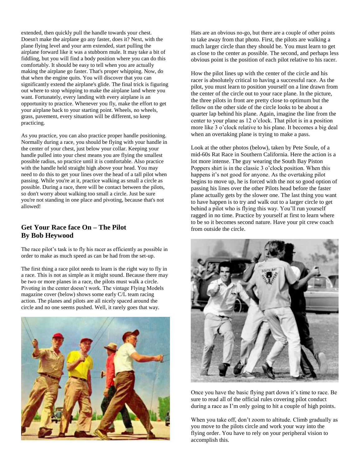extended, then quickly pull the handle towards your chest. Doesn't make the airplane go any faster, does it? Next, with the plane flying level and your arm extended, start pulling the airplane forward like it was a stubborn mule. It may take a bit of fiddling, but you will find a body position where you can do this comfortably. It should be easy to tell when you are actually making the airplane go faster. That's proper whipping. Now, do that when the engine quits. You will discover that you can significantly extend the airplane's glide. The final trick is figuring out where to stop whipping to make the airplane land where you want. Fortunately, every landing with every airplane is an opportunity to practice. Whenever you fly, make the effort to get your airplane back to your starting point. Wheels, no wheels, grass, pavement, every situation will be different, so keep practicing.

As you practice, you can also practice proper handle positioning. Normally during a race, you should be flying with your handle in the center of your chest, just below your collar. Keeping your handle pulled into your chest means you are flying the smallest possible radius, so practice until it is comfortable. Also practice with the handle held straight high above your head. You may need to do this to get your lines over the head of a tall pilot when passing. While you're at it, practice walking as small a circle as possible. During a race, there will be contact between the pilots, so don't worry about walking too small a circle. Just be sure you're not standing in one place and pivoting, because that's not allowed!

## **Get Your Race face On – The Pilot By Bob Heywood**

The race pilot's task is to fly his racer as efficiently as possible in order to make as much speed as can be had from the set-up.

The first thing a race pilot needs to learn is the right way to fly in a race. This is not as simple as it might sound. Because there may be two or more planes in a race, the pilots must walk a circle. Pivoting in the center doesn't work. The vintage Flying Models magazine cover (below) shows some early C/L team racing action. The planes and pilots are all nicely spaced around the circle and no one seems pushed. Well, it rarely goes that way.



Hats are an obvious no-go, but there are a couple of other points to take away from that photo. First, the pilots are walking a much larger circle than they should be. You must learn to get as close to the center as possible. The second, and perhaps less obvious point is the position of each pilot relative to his racer.

How the pilot lines up with the center of the circle and his racer is absolutely critical to having a successful race. As the pilot, you must learn to position yourself on a line drawn from the center of the circle out to your race plane. In the picture, the three pilots in front are pretty close to optimum but the fellow on the other side of the circle looks to be about a quarter lap behind his plane. Again, imagine the line from the center to your plane as 12 o'clock. That pilot is in a position more like 3 o'clock relative to his plane. It becomes a big deal when an overtaking plane is trying to make a pass.

Look at the other photos (below), taken by Pete Soule, of a mid-60s Rat Race in Southern California. Here the action is a lot more intense. The guy wearing the South Bay Piston Poppers shirt is in the classic 3 o'clock position. When this happens it's not good for anyone. As the overtaking pilot begins to move up, he is forced with the not so good option of passing his lines over the other Pilots head before the faster plane actually gets by the slower one. The last thing you want to have happen is to try and walk out to a larger circle to get behind a pilot who is flying this way. You'll run yourself ragged in no time. Practice by yourself at first to learn where to be so it becomes second nature. Have your pit crew coach from outside the circle.



Once you have the basic flying part down it's time to race. Be sure to read all of the official rules covering pilot conduct during a race as I'm only going to hit a couple of high points.

When you take off, don't zoom to altitude. Climb gradually as you move to the pilots circle and work your way into the flying order. You have to rely on your peripheral vision to accomplish this.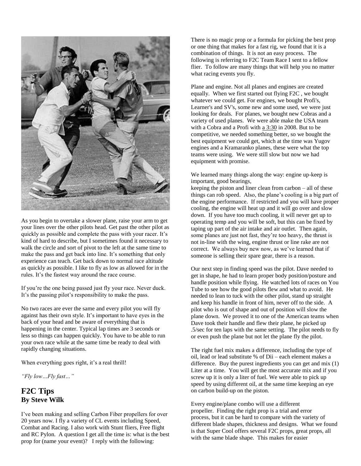

As you begin to overtake a slower plane, raise your arm to get your lines over the other pilots head. Get past the other pilot as quickly as possible and complete the pass with your racer. It's kind of hard to describe, but I sometimes found it necessary to walk the circle and sort of pivot to the left at the same time to make the pass and get back into line. It's something that only experience can teach. Get back down to normal race altitude as quickly as possible. I like to fly as low as allowed for in the rules. It's the fastest way around the race course.

If you're the one being passed just fly your race. Never duck. It's the passing pilot's responsibility to make the pass.

No two races are ever the same and every pilot you will fly against has their own style. It's important to have eyes in the back of your head and be aware of everything that is happening in the center. Typical lap times are 3 seconds or less so things can happen quickly. You have to be able to run your own race while at the same time be ready to deal with rapidly changing situations.

When everything goes right, it's a real thrill!

*"Fly low…Fly fast…"*

## **F2C Tips By Steve Wilk**

I've been making and selling Carbon Fiber propellers for over 20 years now. I fly a variety of CL events including Speed, Combat and Racing. I also work with Stunt fliers, Free flight and RC Pylon. A question I get all the time is: what is the best prop for (name your event)? I reply with the following:

There is no magic prop or a formula for picking the best prop or one thing that makes for a fast rig, we found that it is a combination of things. It is not an easy process. The following is referring to F2C Team Race I sent to a fellow flier. To follow are many things that will help you no matter what racing events you fly.

Plane and engine. Not all planes and engines are created equally. When we first started out flying F2C , we bought whatever we could get. For engines, we bought Profi's, Learner's and SV's, some new and some used, we were just looking for deals. For planes, we bought new Cobras and a variety of used planes. We were able make the USA team with a Cobra and a Profi with [a 3:30](x-apple-data-detectors://1/) in 2008. But to be competitive, we needed something better, so we bought the best equipment we could get, which at the time was Yugov engines and a Kramaranko planes, these were what the top teams were using. We were still slow but now we had equipment with promise.

We learned many things along the way: engine up-keep is important, good bearings,

keeping the piston and liner clean from carbon – all of these things can rob speed. Also, the plane's cooling is a big part of the engine performance. If restricted and you will have proper cooling, the engine will heat up and it will go over and slow down. If you have too much cooling, it will never get up to operating temp and you will be soft, but this can be fixed by taping up part of the air intake and air outlet. Then again, some planes are just not fast, they're too heavy, the thrust is not in-line with the wing, engine thrust or line rake are not correct. We always buy new now, as we've learned that if someone is selling their spare gear, there is a reason.

Our next step in finding speed was the pilot. Dave needed to get in shape, he had to learn proper body position/posture and handle position while flying. He watched lots of races on You Tube to see how the good pilots flew and what to avoid. He needed to lean to tuck with the other pilot, stand up straight and keep his handle in front of him, never off to the side. A pilot who is out of shape and out of position will slow the plane down. We proved it to one of the American teams when Dave took their handle and flew their plane, he picked up .5/sec for ten laps with the same setting. The pilot needs to fly or even push the plane but not let the plane fly the pilot.

The right fuel mix makes a difference, including the type of oil, lead or lead substitute % of Dii – each element makes a difference. Buy the purest ingredients you can get and mix (1) Liter at a time. You will get the most accurate mix and if you screw up it is only a liter of fuel. We were able to pick up speed by using different oil, at the same time keeping an eye on carbon build-up on the piston.

Every engine/plane combo will use a different propeller. Finding the right prop is a trial and error process, but it can be hard to compare with the variety of different blade shapes, thickness and designs. What we found is that Super Cool offers several F2C props, great props, all with the same blade shape. This makes for easier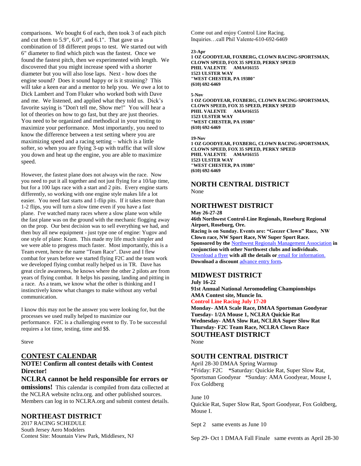comparisons. We bought 6 of each, then took 3 of each pitch and cut them to 5.9", 6.0", and 6.1". That gave us a combination of 18 different props to test. We started out with 6" diameter to find which pitch was the fastest. Once we found the fastest pitch, then we experimented with length. We discovered that you might increase speed with a shorter diameter but you will also lose laps. Next - how does the engine sound? Does it sound happy or is it straining? This will take a keen ear and a mentor to help you. We owe a lot to Dick Lambert and Tom Fluker who worked both with Dave and me. We listened, and applied what they told us. Dick's favorite saying is "Don't tell me, Show me!" You will hear a lot of theories on how to go fast, but they are just theories. You need to be organized and methodical in your testing to maximize your performance. Most importantly, you need to know the difference between a test setting where you are maximizing speed and a racing setting – which is a little softer, so when you are flying 3-up with traffic that will slow you down and heat up the engine, you are able to maximize speed.

However, the fastest plane does not always win the race. Now you need to put it all together and not just flying for a 10/lap time, but for a 100 laps race with a start and 2 pits. Every engine starts differently, so working with one engine style makes life a lot easier. You need fast starts and 1-flip pits. If it takes more than 1-2 flips, you will turn a slow time even if you have a fast plane. I've watched many races where a slow plane won while the fast plane was on the ground with the mechanic flogging away on the prop. Our best decision was to sell everything we had, and then buy all new equipment - just type one of engine: Yugov and one style of plane: Kram. This made my life much simpler and we were able to progress much faster. Most importantly, this is a Team event, hence the name "Team Race". Dave and I flew combat for years before we started flying F2C and the team work we developed flying combat really helped us in TR. Dave has great circle awareness, he knows where the other 2 pilots are from years of flying combat. It helps his passing, landing and pitting in a race. As a team, we know what the other is thinking and I instinctively know what changes to make without any verbal communication.

I know this may not be the answer you were looking for, but the processes we used really helped to maximize our performance. F2C is a challenging event to fly. To be successful requires a lot time, testing, time and \$\$.

Steve

### **CONTEST CALENDAR**

#### **NOTE! Confirm all contest details with Contest Director!**

#### **NCLRA cannot be held responsible for errors or**

**omissions!** This calendar is compiled from data collected at the NCLRA website nclra.org. and other published sources. Members can log in to NCLRA.org and submit contest details.

### **NORTHEAST DISTRICT**

2017 RACING SCHEDULE South Jersey Aero Modelers Contest Site: Mountain View Park, Middlesex, NJ Come out and enjoy Control Line Racing. Inquiries…call Phil Valente-610-692-6469

#### **23-Apr**

**1 OZ GOODYEAR, FOXBERG, CLOWN RACING-SPORTSMAN, CLOWN SPEED, FOX 35 SPEED, PERKY SPEED PHIL VALENTE AMA#16155 1523 ULSTER WAY "WEST CHESTER, PA 19380" (610) 692-6469**

#### **5-Nov**

**1 OZ GOODYEAR, FOXBERG, CLOWN RACING-SPORTSMAN, CLOWN SPEED, FOX 35 SPEED, PERKY SPEED PHIL VALENTE AMA#16155 1523 ULSTER WAY "WEST CHESTER, PA 19380" (610) 692-6469**

#### **19-Nov**

**1 OZ GOODYEAR, FOXBERG, CLOWN RACING-SPORTSMAN, CLOWN SPEED, FOX 35 SPEED, PERKY SPEED PHIL VALENTE AMA#16155 1523 ULSTER WAY "WEST CHESTER, PA 19380" (610) 692-6469**

## **NORTH CENTRAL DISTRICT**

None

## **NORTHWEST DISTRICT**

**May 26-27-28 46th Northwest Control-Line Regionals, Roseburg Regional Airport, Roseburg, Ore. Racing is on Sunday. Events are: "Geezer Clown" Race, NW Clown race, NW Sport Race, NW Super Sport Race. Sponsored by the** [Northwest Regionals Management Association](http://flyinglines.org/nwrma.html) **in conjunction with other Northwest clubs and individuals.**  [Download a flyer](http://flyinglines.org/17.reg.flyer.pdf) **with all the details or** [email for information.](mailto:johnt4051@aol.com) **Download a discount** [advance entry form](http://flyinglines.org/reg.17.advance.entry.pdf)**.**

### **MIDWEST DISTRICT**

**July 16-22 91st Annual National Aeromodeling Championships AMA Contest site, Muncie In. Control Line Racing July 17-20 Monday- AMA Scale Race, DMAA Sportsman Goodyear Tuesday- 1/2A Mouse 1, NCLRA Quickie Rat Wednesday- AMA Slow Rat, NCLRA Super Slow Rat Thursday- F2C Team Race, NCLRA Clown Race SOUTHEAST DISTRICT** None

### **SOUTH CENTRAL DISTRICT**

April 28-30 DMAA Spring Warmup \*Friday: F2C \*Saturday: Quickie Rat, Super Slow Rat, Sportsman Goodyear \*Sunday: AMA Goodyear, Mouse I, Fox Goldberg

June 10 Quickie Rat, Super Slow Rat, Sport Goodyear, Fox Goldberg, Mouse I.

Sept 2 same events as June 10

Sep 29- Oct 1 DMAA Fall Finale same events as April 28-30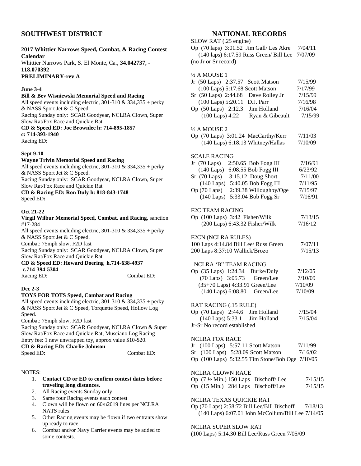### **SOUTHWEST DISTRICT**

#### **2017 Whittier Narrows Speed, Combat, & Racing Contest Calendar**

Whittier Narrows Park, S. El Monte, Ca., **34.042737, - 118.070392**

**PRELIMINARY-rev A**

#### **June 3-4**

#### **Bill & Bev Wisniewski Memorial Speed and Racing**

All speed events including electric,  $301-310 \& 334,335 + \text{perky}$ & NASS Sport Jet & C Speed. Racing Sunday only: SCAR Goodyear, NCLRA Clown, Super

Slow Rat/Fox Race and Quickie Rat

#### **CD & Speed ED: Joe Brownlee h: 714-895-1857 c: 714-393-1940**

Racing ED:

#### **Sept 9-10**

#### **Wayne Trivin Memorial Speed and Racing**

All speed events including electric,  $301-310 \& 334,335 + \text{perky}$ & NASS Sport Jet & C Speed.

Racing Sunday only: SCAR Goodyear, NCLRA Clown, Super Slow Rat/Fox Race and Quickie Rat

#### **CD & Racing ED: Ron Duly h: 818-843-1748** Speed ED**:**

#### **Oct 21-22**

#### **Virgil Wilbur Memorial Speed, Combat, and Racing,** sanction #17-284

All speed events including electric,  $301-310 \& 334,335 + \text{perky}$ & NASS Sport Jet & C Speed.

Combat: 75mph slow, F2D fast

Racing Sunday only: SCAR Goodyear, NCLRA Clown, Super Slow Rat/Fox Race and Quickie Rat

#### **CD & Speed ED: Howard Doering h.714-638-4937 c.714-394-5304**

Racing ED: Combat ED:

### **Dec 2-3**

#### **TOYS FOR TOTS Speed, Combat and Racing**

All speed events including electric,  $301-310 \& 334,335 + \text{perky}$ & NASS Sport Jet & C Speed, Torquette Speed, Hollow Log Speed.

Combat: 75mph slow, F2D fast

Racing Sunday only: SCAR Goodyear, NCLRA Clown & Super Slow Rat/Fox Race and Quickie Rat, Musciano Log Racing Entry fee: 1 new unwrapped toy, approx value \$10-\$20. **CD & Racing ED: Charlie Johnson**  Speed ED: Combat ED:

#### NOTES:

#### 1. **Contact CD or ED to confirm contest dates before traveling long distances.**

- 2. All Racing events Sunday only
- 3. Same four Racing events each contest
- 4. Clown will be flown on 60\u2019 lines per NCLRA NATS rules
- 5. Other Racing events may be flown if two entrants show up ready to race
- 6. Combat and/or Navy Carrier events may be added to some contests.

#### **NATIONAL RECORDS**  $\overline{\text{SLOW}}$  **PAT** (.25 engine)

| $SLUW NAL (22)$ engine                                      |         |
|-------------------------------------------------------------|---------|
| Op $(70 \text{ laps})$ 3:01.52 Jim Gall/Les Akre            | 7/04/11 |
| $(140 \text{ laps})$ 6:17.59 Russ Green/ Bill Lee $7/07/09$ |         |
| (no Jr or Sr record)                                        |         |

| ½ A MOUSE 1                                           |         |
|-------------------------------------------------------|---------|
| Jr $(50 \text{ Laps})$ 2:37.57<br><b>Scott Matson</b> | 7/15/99 |
| (100 Laps) 5:17.68 Scott Matson                       | 7/17/99 |
| Sr (50 Laps) 2:44.68<br>Dave Rolley Jr                | 7/15/99 |
| (100 Laps) 5:20.11<br>D.J. Parr                       | 7/16/98 |
| Op (50 Laps) 2:12.3<br>Jim Holland                    | 7/16/04 |
| $(100$ Laps) $4:22$                                   |         |
| Ryan & Gibeault                                       | 7/15/99 |
| ½ A MOUSE 2                                           |         |
| Op (70 Laps) 3:01.24 MacCarthy/Kerr                   | 7/11/03 |
| (140 Laps) 6:18.13 Whitney/Hallas                     | 7/10/09 |
| SCALE RACING                                          |         |
| Jr (70 Laps)<br>2:50.65 Bob Fogg III                  | 7/16/91 |
| $(140$ Laps)<br>6:08.55 Bob Fogg III                  | 6/23/92 |
| $Sr$ (70 Laps)<br>3:15.12 Doug Short                  | 7/11/00 |
| 5:40.05 Bob Fogg III<br>$(140 \text{ Laps})$          | 7/11/95 |
| Op (70 Laps)                                          | 7/15/97 |
| 2:39.38 Willoughby/Oge                                |         |
| 5:33.04 Bob Fogg Sr<br>$(140 \text{ Laps})$           | 7/16/91 |
| <b>F2C TEAM RACING</b>                                |         |
| Op (100 Laps) 3:42 Fisher/Wilk                        | 7/13/15 |
| (200 Laps) 6:43.32 Fisher/Wilk                        | 7/16/12 |
| F2CN (NCLRA RULES)                                    |         |
| 100 Laps 4:14.84 Bill Lee/ Russ Green                 | 7/07/11 |
| 200 Laps 8:37:10 Wallick/Brozo                        | 7/15/13 |
|                                                       |         |
| NCLRA 'B" TEAM RACING                                 |         |
| <b>Burke/Duly</b><br>Op (35 Laps) 1:24.34             | 7/12/05 |
| (70 Laps) 3:05.73<br>Green/Lee                        | 7/10/09 |
| (35+70 Laps) 4:33.91 Green/Lee                        | 7/10/09 |
| (140 Laps) 6:08.80<br>Green/Lee                       | 7/10/09 |
| RAT RACING (.15 RULE)                                 |         |
| Op $(70 \text{ Laps})$ 2:44.6 Jim Holland             | 7/15/04 |
| (140 Laps) 5:33.1 Jim Holland                         | 7/15/04 |
| Jr-Sr No record established                           |         |
|                                                       |         |
| <b>NCLRA FOX RACE</b>                                 |         |
| Jr (100 Laps) 5:57.11 Scott Matson                    | 7/11/99 |
| Sr (100 Laps) 5:28.09 Scott Matson                    | 7/16/02 |
| Op (100 Laps) 5:32.55 Tim Stone/Bob Oge 7/10/05       |         |
| NCLRA CLOWN RACE                                      |         |
| Op $(7\frac{1}{2})$ Min.) 150 Laps Bischoff/Lee       | 7/15/15 |
| Op (15 Min.) 284 Laps Bischoff/Lee                    | 7/15/15 |
|                                                       |         |
| <b>TEVAS OUICIZIE DAT</b>                             |         |

#### NCLRA TEXAS QUICKIE RAT

Op (70 Laps) 2:58:72 Bill Lee/Bill Bischoff 7/18/13 (140 Laps) 6:07.01 John McCollum/Bill Lee 7/14/05

#### NCLRA SUPER SLOW RAT

(100 Laps) 5:14.30 Bill Lee/Russ Green 7/05/09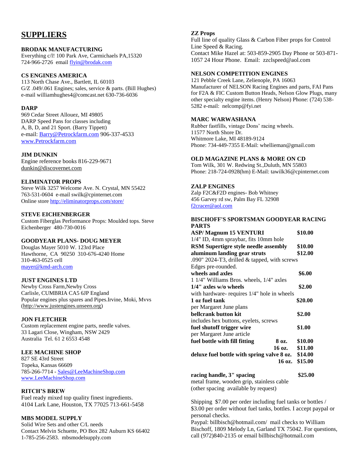## **SUPPLIERS**

#### **BRODAK MANUFACTURING**

Everything c/l! 100 Park Ave, Carmichaels PA,15320 724-966-2726 email [flyin@brodak.com](mailto:flyin@brodak.com)

#### **CS ENGINES AMERICA**

113 North Chase Ave., Bartlett, IL 60103 G/Z .049/.061 Engines; sales, service & parts. (Bill Hughes) e-mail williamhughes4@comcast.net 630-736-6036

#### **DARP**

969 Cedar Street Allouez, MI 49805 DARP Speed Pans for classes including A, B, D, and 21 Sport. (Barry Tippett) e-mail: [Barry@Petrockfarm.com](mailto:Barry@Petrockfarm.com) 906-337-4533 [www.Petrockfarm.com](http://www.petrockfarm.com/)

#### **JIM DUNKIN**

Engine reference books 816-229-9671 [dunkin@discovernet.com](mailto:dunkin@discovernet.com)

#### **ELIMINATOR PROPS**

Steve Wilk 3257 Welcome Ave. N. Crystal, MN 55422 763-531-0604 e-mail swilk@cpinternet.com Online store<http://eliminatorprops.com/store/>

#### **STEVE EICHENBERGER**

Custom Fiberglas Performance Props: Moulded tops. Steve Eichenberger 480-730-0016

#### **GOODYEAR PLANS- DOUG MEYER**

Douglas Mayer 5010 W. 123rd Place Hawthorne, CA 90250 310-676-4240 Home 310-463-0525 cell [mayer@kmd-arch.com](mailto:mayer@kmd-arch.com)

#### **JUST ENGINES LTD**

Newby Cross Farm,Newby Cross Carlisle, CUMBRIA CA5 6JP England Popular engines plus spares and Pipes.Irvine, Moki, Mvvs [\(http://www.justengines.unseen.org\)](http://www.justengines.unseen.org/)

#### **JON FLETCHER**

Custom replacement engine parts, needle valves. 33 Lagari Close, Wingham, NSW 2429 Australia Tel. 61 2 6553 4548

#### **LEE MACHINE SHOP**

827 SE 43rd Street Topeka, Kansas 66609 785-266-7714 - [Sales@LeeMachineShop.com](mailto:Sales@LeeMachineShop.com) [www.LeeMachineShop.com](http://www.leemachineshop.com/)

#### **RITCH'S BREW**

Fuel ready mixed top quality finest ingredients. 4104 Lark Lane, Houston, TX 77025 713-661-5458

#### **MBS MODEL SUPPLY**

Solid Wire Sets and other C/L needs Contact Melvin Schuette, PO Box 282 Auburn KS 66402 1-785-256-2583. mbsmodelsupply.com

#### **ZZ Props**

Full line of quality Glass & Carbon Fiber props for Control Line Speed & Racing. Contact Mike Hazel at: 503-859-2905 Day Phone or 503-871- 1057 24 Hour Phone. Email: zzclspeed@aol.com

#### **NELSON COMPETITION ENGINES**

121 Pebble Creek Lane, Zelienople, PA 16063 Manufacturer of NELSON Racing Engines and parts, FAI Pans for F2A & FIC Custom Button Heads, Nelson Glow Plugs, many other specialty engine items. (Henry Nelson) Phone: (724) 538- 5282 e-mail: nelcomp@fyi.net

#### **MARC WARWASHANA**

Rubber fastfills, vintage Dons' racing wheels. 11577 North Shore Dr. Whitmore Lake, MI 48189-9124 Phone: 734-449-7355 E-Mail: whellieman@gmail.com

#### **OLD MAGAZINE PLANS & MORE ON CD**

Tom Wilk, 301 W. Redwing St.,Duluth, MN 55803 Phone: 218-724-0928(hm) E-Mail: tawilk36@cpinternet.com

#### **ZALP ENGINES**

Zalp F2C&F2D engines- Bob Whitney 456 Garvey rd sw, Palm Bay FL 32908 [f2cracer@aol.com](mailto:f2cracer@aol.com)

#### **BISCHOFF'S SPORTSMAN GOODYEAR RACING PARTS**

| <b>ASP/Magnum 15 VENTURI</b>                 | \$10.00 |
|----------------------------------------------|---------|
| 1/4" ID, 4mm spraybar, fits 10mm hole        |         |
| <b>RSM Supertigre style needle assembly</b>  | \$10.00 |
| aluminum landing gear struts                 | \$12.00 |
| .090" 2024-T3, drilled & tapped, with screws |         |
| Edges pre-rounded.                           |         |
| wheels and axles                             | \$6.00  |
| 1 1/4" Williams Bros. wheels, 1/4" axles     |         |
| $1/4$ " axles w/o wheels                     | \$2.00  |
| with hardware-requires 1/4" hole in wheels   |         |
| 1 oz fuel tank                               | \$20.00 |
| per Margaret June plans                      |         |
| bellcrank button kit                         | \$2.00  |
| includes hex buttons, eyelets, screws        |         |
| fuel shutoff trigger wire                    | \$1.00  |
| per Margaret June article                    |         |
| fuel bottle with fill fitting<br>8 oz.       | \$10.00 |
| 16 oz.                                       | \$11.00 |
| deluxe fuel bottle with spring valve 8 oz.   | \$14.00 |
| 16 oz.                                       | \$15.00 |

**racing handle, 3" spacing \$25.00** metal frame, wooden grip, stainless cable (other spacing available by request)

Shipping \$7.00 per order including fuel tanks or bottles / \$3.00 per order without fuel tanks, bottles. I accept paypal or personal checks.

Paypal: billbisch@hotmail.com/ mail checks to William Bischoff, 1809 Melody Ln, Garland TX 75042. For questions, call (972)840-2135 or email billbisch@hotmail.com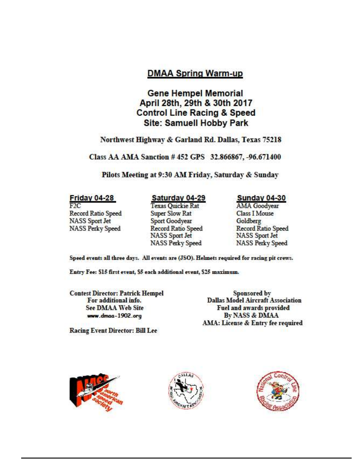## **DMAA Spring Warm-up**

## **Gene Hempel Memorial** April 28th, 29th & 30th 2017 **Control Line Racing & Speed Site: Samuell Hobby Park**

## Northwest Highway & Garland Rd. Dallas, Texas 75218

Class AA AMA Sanction #452 GPS 32.866867, -96.671400

Pilots Meeting at 9:30 AM Friday, Saturday & Sunday

## **Friday 04-28**

 $F2C$ Record Ratio Speed **NASS Sport Jet NASS Perky Speed** 

## Saturday 04-29

**Texas Quickie Rat Super Slow Rat** Sport Goodyear Record Ratio Speed NASS Sport Jet **NASS Perky Speed** 

## Sunday 04-30

**AMA** Goodyear **Class I Mouse** Goldberg **Record Ratio Speed NASS** Sport Jet **NASS Perky Speed** 

Speed events all three days. All events are (JSO). Helmets required for racing pit crews.

Entry Fee: \$15 first event, \$5 each additional event, \$25 maximum.

**Contest Director: Patrick Hempel** For additional info. **See DMAA Web Site** www.dmaa-1902.org

Sponsored by **Dallas Model Aircraft Association** Fuel and awards provided By NASS & DMAA AMA: License & Entry fee required

**Racing Event Director: Bill Lee** 





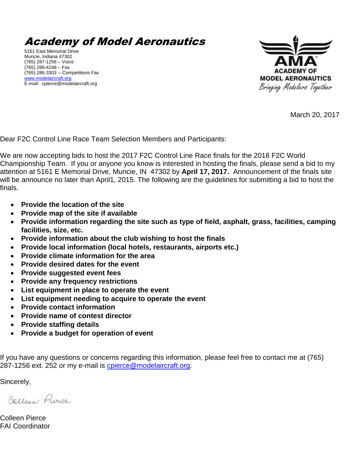Academy of Model Aeronautics

5161 East Memorial Drive Muncie, Indiana 47302 (765) 287-1256 – Voice (765) 289-4248 – Fax (765) 286-3303 -- Competitions Fax [www.modelaircraft.org](http://www.modelaircraft.org/) E-mail: cpierce@modelaircraft.org



March 20, 2017

Dear F2C Control Line Race Team Selection Members and Participants:

We are now accepting bids to host the 2017 F2C Control Line Race finals for the 2018 F2C World Championship Team. If you or anyone you know is interested in hosting the finals, please send a bid to my attention at 5161 E Memorial Drive, Muncie, IN 47302 by **April 17, 2017.** Announcement of the finals site will be announce no later than April1, 2015. The following are the guidelines for submitting a bid to host the finals.

- **Provide the location of the site**
- **Provide map of the site if available**
- **Provide information regarding the site such as type of field, asphalt, grass, facilities, camping facilities, size, etc.**
- **Provide information about the club wishing to host the finals**
- **Provide local information (local hotels, restaurants, airports etc.)**
- **Provide climate information for the area**
- **Provide desired dates for the event**
- **Provide suggested event fees**
- **Provide any frequency restrictions**
- List equipment in place to operate the event
- **List equipment needing to acquire to operate the event**
- **Provide contact information**
- **Provide name of contest director**
- **Provide staffing details**
- **Provide a budget for operation of event**

If you have any questions or concerns regarding this information, please feel free to contact me at (765) 287-1256 ext. 252 or my e-mail is [cpierce@modelaircraft.org.](mailto:cpierce@modelaircraft.org)

Sincerely,

Collins Purce

Colleen Pierce FAI Coordinator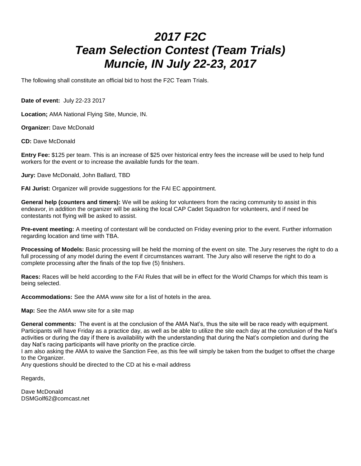# *2017 F2C Team Selection Contest (Team Trials) Muncie, IN July 22-23, 2017*

The following shall constitute an official bid to host the F2C Team Trials.

**Date of event:** July 22-23 2017

**Location;** AMA National Flying Site, Muncie, IN.

**Organizer:** Dave McDonald

**CD:** Dave McDonald

**Entry Fee:** \$125 per team. This is an increase of \$25 over historical entry fees the increase will be used to help fund workers for the event or to increase the available funds for the team.

**Jury:** Dave McDonald, John Ballard, TBD

**FAI Jurist:** Organizer will provide suggestions for the FAI EC appointment.

**General help (counters and timers):** We will be asking for volunteers from the racing community to assist in this endeavor, in addition the organizer will be asking the local CAP Cadet Squadron for volunteers, and if need be contestants not flying will be asked to assist.

**Pre-event meeting:** A meeting of contestant will be conducted on Friday evening prior to the event. Further information regarding location and time with TBA.

**Processing of Models:** Basic processing will be held the morning of the event on site. The Jury reserves the right to do a full processing of any model during the event if circumstances warrant. The Jury also will reserve the right to do a complete processing after the finals of the top five (5) finishers.

**Races:** Races will be held according to the FAI Rules that will be in effect for the World Champs for which this team is being selected.

**Accommodations:** See the AMA www site for a list of hotels in the area.

**Map:** See the AMA www site for a site map

**General comments:** The event is at the conclusion of the AMA Nat's, thus the site will be race ready with equipment. Participants will have Friday as a practice day, as well as be able to utilize the site each day at the conclusion of the Nat's activities or during the day if there is availability with the understanding that during the Nat's completion and during the day Nat's racing participants will have priority on the practice circle.

I am also asking the AMA to waive the Sanction Fee, as this fee will simply be taken from the budget to offset the charge to the Organizer.

Any questions should be directed to the CD at his e-mail address

Regards,

Dave McDonald DSMGolf62@comcast.net